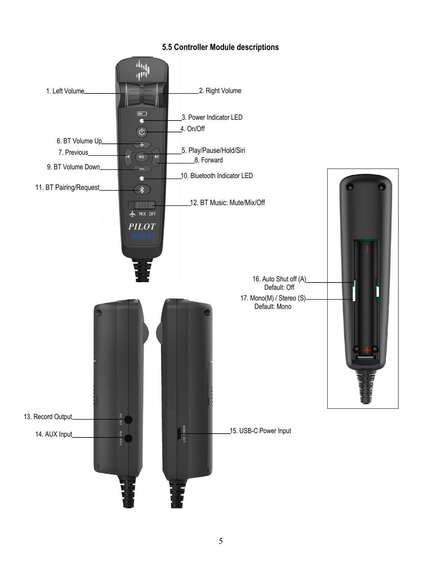

# **5.5 Controller Module descriptions**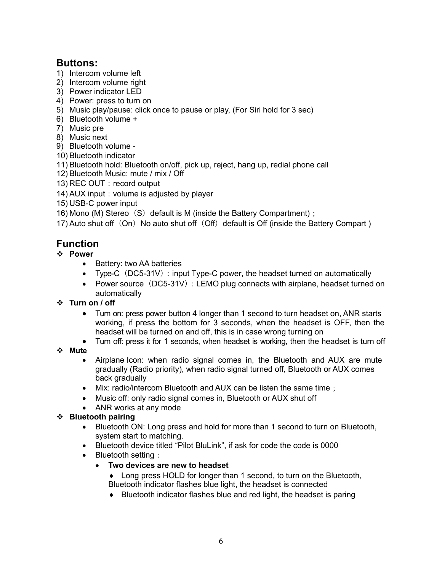# **Buttons:**

- 1) Intercom volume left
- 2) Intercom volume right
- 3) Power indicator LED
- 4) Power: press to turn on
- 5) Music play/pause: click once to pause or play, (For Siri hold for 3 sec)
- 6) Bluetooth volume +
- 7) Music pre
- 8) Music next
- 9) Bluetooth volume -
- 10) Bluetooth indicator
- 11) Bluetooth hold: Bluetooth on/off, pick up, reject, hang up, redial phone call
- 12) Bluetooth Music: mute / mix / Off
- 13) REC OUT: record output
- 14) AUX input: volume is adjusted by player
- 15) USB-C power input
- 16) Mono (M) Stereo $(S)$  default is M (inside the Battery Compartment);

17) Auto shut off  $(On)$  No auto shut off  $(Off)$  default is Off (inside the Battery Compart )

# **Function**

- v **Power**
	- Battery: two AA batteries
	- Type-C $(DC5-31V)$ : input Type-C power, the headset turned on automatically
	- Power source  $(DC5-31V)$ : LEMO plug connects with airplane, headset turned on automatically
- v **Turn on / off**
	- Turn on: press power button 4 longer than 1 second to turn headset on, ANR starts working, if press the bottom for 3 seconds, when the headset is OFF, then the headset will be turned on and off, this is in case wrong turning on
	- Turn off: press it for 1 seconds, when headset is working, then the headset is turn off
- v **Mute**
	- Airplane Icon: when radio signal comes in, the Bluetooth and AUX are mute gradually (Radio priority), when radio signal turned off, Bluetooth or AUX comes back gradually
	- Mix: radio/intercom Bluetooth and AUX can be listen the same time;
	- Music off: only radio signal comes in, Bluetooth or AUX shut off
	- ANR works at any mode

# v **Bluetooth pairing**

- Bluetooth ON: Long press and hold for more than 1 second to turn on Bluetooth, system start to matching.
- Bluetooth device titled "Pilot BluLink", if ask for code the code is 0000
- Bluetooth setting:
	- **Two devices are new to headset**
		- $\bullet$  Long press HOLD for longer than 1 second, to turn on the Bluetooth, Bluetooth indicator flashes blue light, the headset is connected
		- $\bullet$  Bluetooth indicator flashes blue and red light, the headset is paring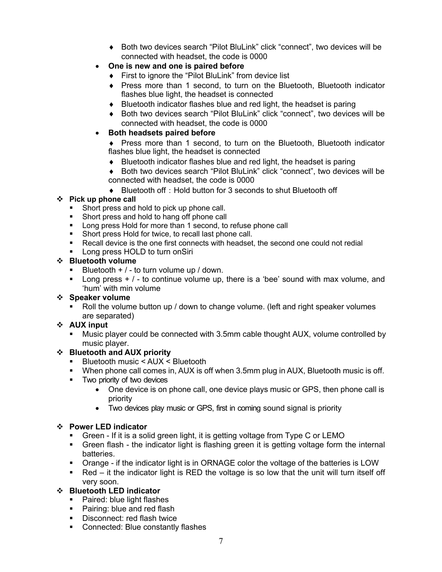- ◆ Both two devices search "Pilot BluLink" click "connect", two devices will be connected with headset, the code is 0000
- **One is new and one is paired before**
	- $\bullet$  First to ignore the "Pilot BluLink" from device list
	- Press more than 1 second, to turn on the Bluetooth, Bluetooth indicator flashes blue light, the headset is connected
	- $\bullet$  Bluetooth indicator flashes blue and red light, the headset is paring
	- ◆ Both two devices search "Pilot BluLink" click "connect", two devices will be connected with headset, the code is 0000

## • **Both headsets paired before**

- Press more than 1 second, to turn on the Bluetooth, Bluetooth indicator flashes blue light, the headset is connected
- $\bullet$  Bluetooth indicator flashes blue and red light, the headset is paring
- ◆ Both two devices search "Pilot BluLink" click "connect", two devices will be connected with headset, the code is 0000
- ◆ Bluetooth off: Hold button for 3 seconds to shut Bluetooth off

# v **Pick up phone call**

- Short press and hold to pick up phone call.
- Short press and hold to hang off phone call
- Long press Hold for more than 1 second, to refuse phone call
- Short press Hold for twice, to recall last phone call.
- Recall device is the one first connects with headset, the second one could not redial
- Long press HOLD to turn onSiri

#### v **Bluetooth volume**

- Bluetooth  $+$  / to turn volume up / down.
- **•** Long press  $+$  /  $-$  to continue volume up, there is a 'bee' sound with max volume, and 'hum' with min volume

## v **Speaker volume**

§ Roll the volume button up / down to change volume. (left and right speaker volumes are separated)

## v **AUX input**

§ Music player could be connected with 3.5mm cable thought AUX, volume controlled by music player.

## v **Bluetooth and AUX priority**

- Bluetooth music < AUX < Bluetooth
- § When phone call comes in, AUX is off when 3.5mm plug in AUX, Bluetooth music is off.
- § Two priority of two devices
	- One device is on phone call, one device plays music or GPS, then phone call is priority
	- Two devices play music or GPS, first in coming sound signal is priority

## v **Power LED indicator**

- § Green If it is a solid green light, it is getting voltage from Type C or LEMO
- Green flash the indicator light is flashing green it is getting voltage form the internal batteries.
- Orange if the indicator light is in ORNAGE color the voltage of the batteries is LOW
- $\blacksquare$  Red it the indicator light is RED the voltage is so low that the unit will turn itself off very soon.

## v **Bluetooth LED indicator**

- Paired: blue light flashes
- Pairing: blue and red flash
- § Disconnect: red flash twice
- Connected: Blue constantly flashes